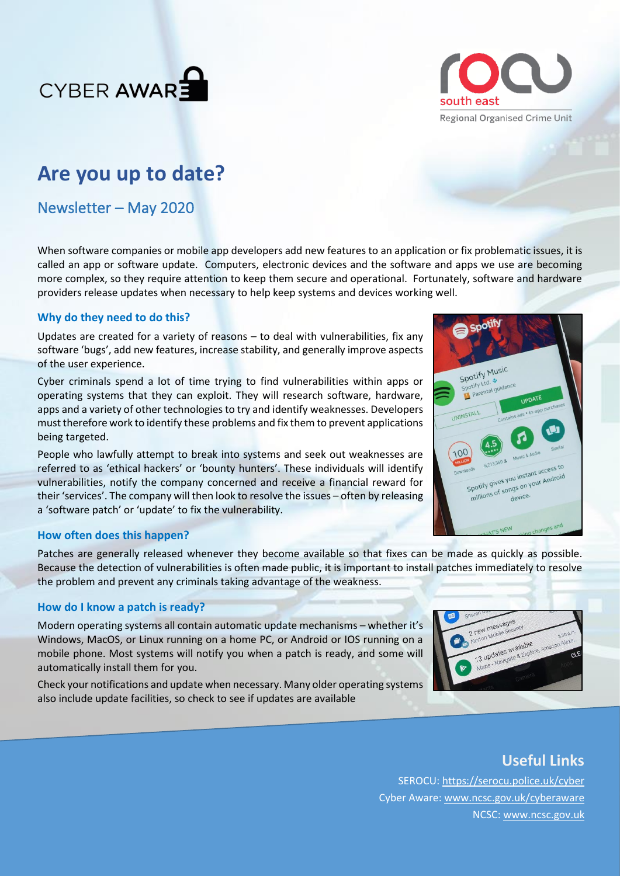



# **Are you up to date?**

Newsletter – May 2020

When software companies or mobile app developers add new features to an application or fix problematic issues, it is called an app or software update. Computers, electronic devices and the software and apps we use are becoming more complex, so they require attention to keep them secure and operational. Fortunately, software and hardware providers release updates when necessary to help keep systems and devices working well.

### **Why do they need to do this?**

Updates are created for a variety of reasons – to deal with vulnerabilities, fix any software 'bugs', add new features, increase stability, and generally improve aspects of the user experience.

Cyber criminals spend a lot of time trying to find vulnerabilities within apps or operating systems that they can exploit. They will research software, hardware, apps and a variety of other technologies to try and identify weaknesses. Developers must therefore work to identify these problems and fix them to prevent applications being targeted.

People who lawfully attempt to break into systems and seek out weaknesses are referred to as 'ethical hackers' or 'bounty hunters'. These individuals will identify vulnerabilities, notify the company concerned and receive a financial reward for their 'services'. The company will then look to resolve the issues – often by releasing a 'software patch' or 'update' to fix the vulnerability.

### **How often does this happen?**

Patches are generally released whenever they become available so that fixes can be made as quickly as possible. Because the detection of vulnerabilities is often made public, it is important to install patches immediately to resolve the problem and prevent any criminals taking advantage of the weakness.

### **How do I know a patch is ready?**

Modern operating systems all contain automatic update mechanisms – whether it's Windows, MacOS, or Linux running on a home PC, or Android or IOS running on a mobile phone. Most systems will notify you when a patch is ready, and some will automatically install them for you.

Check your notifications and update when necessary. Many older operating systems also include update facilities, so check to see if updates are available

| Sharon of<br>2 new messages |                      |                                          |
|-----------------------------|----------------------|------------------------------------------|
| Norton Mobile Security      |                      | $8.30$ a.m.                              |
|                             | 13 updates available | Maps - Navigate & Explore, Amazon Alexa. |
|                             | <b>Quincity</b>      |                                          |
| التوري                      |                      |                                          |

## **Useful Links**

SEROCU:<https://serocu.police.uk/cyber> Cyber Aware[: www.ncsc.gov.uk/cyberaware](http://www.ncsc.gov.uk/cyberaware/home) NCSC: [www.ncsc.gov.uk](http://www.ncsc.gov.uk/)